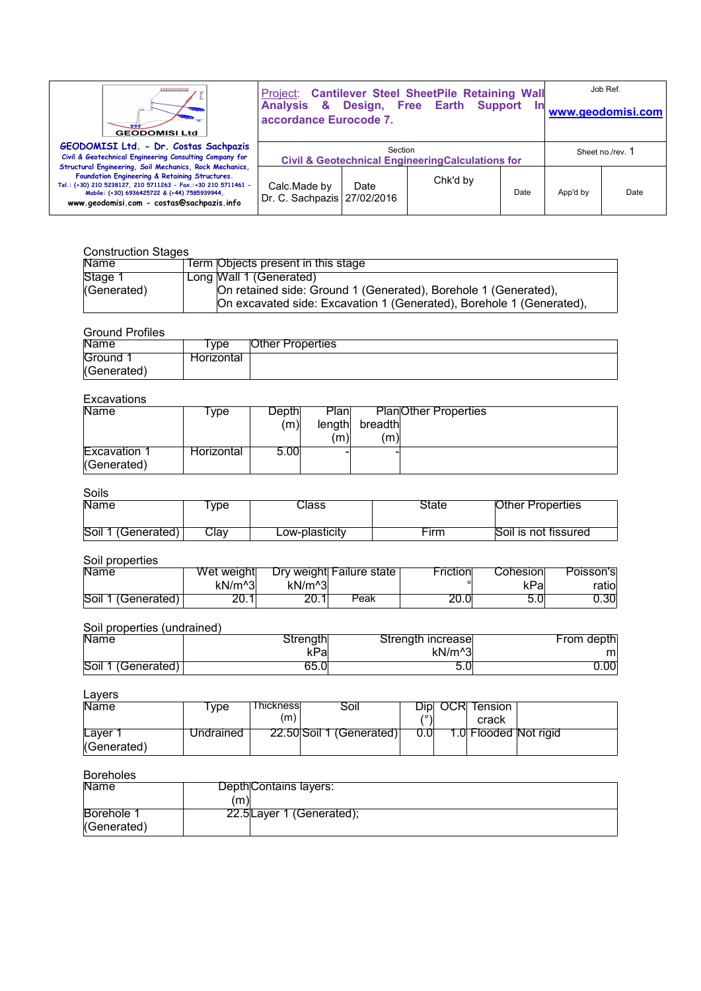| ,,,,,,,,,,,,,,,<br><b>GEODOMISI Ltd</b>                                                                                                                                                                                                                                 | accordance Eurocode 7.                                                 |      | <b>Project: Cantilever Steel SheetPile Retaining Wall<br/>Analysis &amp; Design, Free Earth Support In</b> |      |                  | Job Ref.<br>www.geodomisi.com |
|-------------------------------------------------------------------------------------------------------------------------------------------------------------------------------------------------------------------------------------------------------------------------|------------------------------------------------------------------------|------|------------------------------------------------------------------------------------------------------------|------|------------------|-------------------------------|
| GEODOMISI Ltd. - Dr. Costas Sachpazis<br>Civil & Geotechnical Engineering Consulting Company for                                                                                                                                                                        | Section<br><b>Civil &amp; Geotechnical EngineeringCalculations for</b> |      |                                                                                                            |      | Sheet no./rev. 1 |                               |
| Structural Engineering, Soil Mechanics, Rock Mechanics,<br>Foundation Engineering & Retaining Structures.<br>Tel.: (+30) 210 5238127, 210 5711263 - Fax.:+30 210 5711461 -<br>Mobile: (+30) 6936425722 & (+44) 7585939944,<br>www.geodomisi.com - costas@sachpazis.info | Calc.Made by<br>Dr. C. Sachpazis 27/02/2016                            | Date | Chk'd by                                                                                                   | Date | App'd by         | Date                          |

#### Construction Stages

| <b>Name</b> | Term Objects present in this stage                                   |
|-------------|----------------------------------------------------------------------|
| Stage 1     | Long Wall 1 (Generated)                                              |
| (Generated) | On retained side: Ground 1 (Generated), Borehole 1 (Generated),      |
|             | On excavated side: Excavation 1 (Generated), Borehole 1 (Generated), |

## Ground Profiles

| oluulu Luuluu |            |                         |
|---------------|------------|-------------------------|
| <b>Name</b>   | vpe:       | <b>Other Properties</b> |
| Ground        | Horizontal |                         |
| (Generated)   |            |                         |

# Excavations

| ------------                |            |       |        |                             |  |
|-----------------------------|------------|-------|--------|-----------------------------|--|
| <b>Name</b>                 | <b>vpe</b> | Depth | Planl  | <b>PlanOther Properties</b> |  |
|                             |            | (m)   | length | breadth                     |  |
|                             |            |       | (m)    | (m)                         |  |
| Excavation 1<br>(Generated) | Horizontal | 5.00  |        |                             |  |

#### Soils

| ----               |            |                |       |                         |
|--------------------|------------|----------------|-------|-------------------------|
| Name               | <b>vpe</b> | ાેass          | State | <b>Other Properties</b> |
| Soil 1 (Generated) | Clav       | Low-plasticity | Firm  | Soil is not fissured    |

### Soil properties

| Name               | Wet weight |               | Dry weight Failure state | Friction | Cohesionl | Poisson's |
|--------------------|------------|---------------|--------------------------|----------|-----------|-----------|
|                    | $kN/m^3$   | $kN/m^{3}$    |                          |          | kPa       | ratiol    |
| Soil 1 (Generated) | 20.1       | ו חר<br>20. I | Peak                     | 20.0     |           | 0.30      |

# Soil properties (undrained)

| Name               | Strength∣ | Strength increase   | From depth |
|--------------------|-----------|---------------------|------------|
|                    | kPa       | kN/m <sup>^</sup> 3 | ml         |
| Soil 1 (Generated) | 65.0      |                     | J.00       |

## Layers

| Name        | <b>vpe</b> | Thicknessl | Soil                     |  | Dipl OCR Tension      |  |
|-------------|------------|------------|--------------------------|--|-----------------------|--|
|             |            | (m)        |                          |  | crack                 |  |
| Laver       | Undrained  |            | 22.50 Soil 1 (Generated) |  | 1.0 Flooded Not rigid |  |
| (Generated) |            |            |                          |  |                       |  |

## Boreholes

| <b>Name</b> | DepthContains layers:    |  |
|-------------|--------------------------|--|
|             | (m)                      |  |
| Borehole 1  | 22.5Layer 1 (Generated); |  |
| (Generated) |                          |  |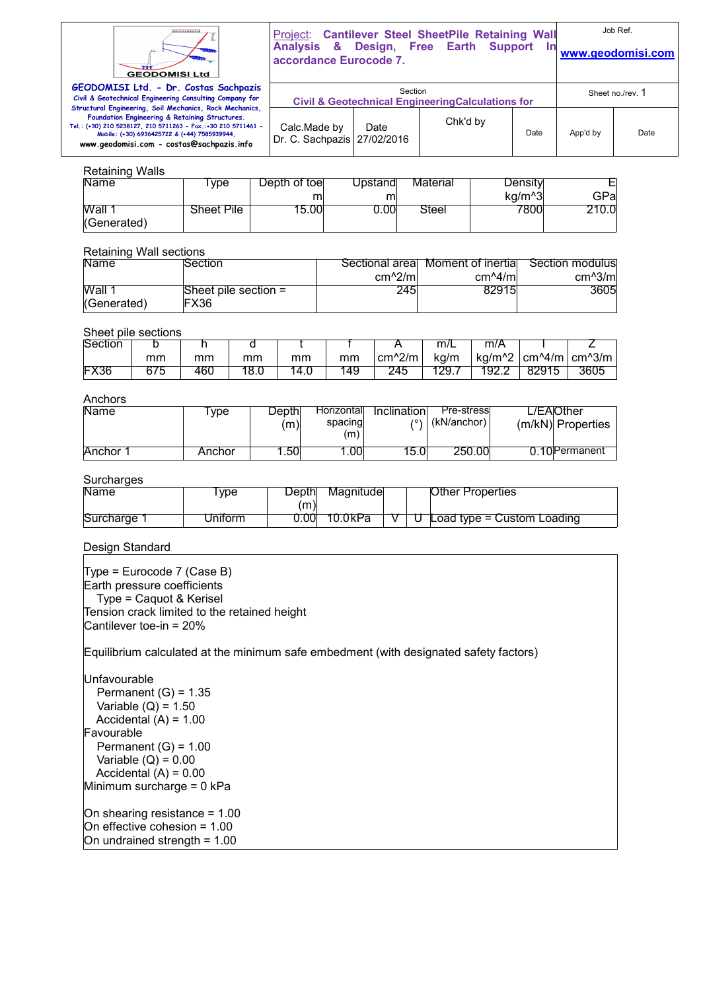

Project: **Cantilever Steel SheetPile Retaining Wall Analysis & Design, Free Earth Support In** 

Job Ref.

| <b><i>Changement</i></b><br><b>GEODOMISI Ltd</b>                                                                                                                                                                                                                        | $\frac{1}{2}$<br>accordance Eurocode 7.                      | .                | www.geodomisi.com |      |          |      |
|-------------------------------------------------------------------------------------------------------------------------------------------------------------------------------------------------------------------------------------------------------------------------|--------------------------------------------------------------|------------------|-------------------|------|----------|------|
| GEODOMISI Ltd. - Dr. Costas Sachpazis<br>Civil & Geotechnical Engineering Consulting Company for                                                                                                                                                                        | <b>Civil &amp; Geotechnical Engineering Calculations for</b> | Sheet no./rev. 1 |                   |      |          |      |
| Structural Engineering, Soil Mechanics, Rock Mechanics,<br>Foundation Engineering & Retaining Structures.<br>Tel.: (+30) 210 5238127, 210 5711263 - Fax.:+30 210 5711461 -<br>Mobile: (+30) 6936425722 & (+44) 7585939944.<br>www.geodomisi.com - costas@sachpazis.info | Calc.Made by<br>Dr. C. Sachpazis 27/02/2016                  | Date             | Chk'd by          | Date | App'd by | Date |

## Retaining Walls

Tel.: (+30)

| <b>Name</b> | <b>vpe</b> | Depth of toel | Upstandl | Material | Density |       |
|-------------|------------|---------------|----------|----------|---------|-------|
|             |            |               |          |          | ka/m^3  | GPal  |
| Wall 1      | Sheet Pile | 15.00         | J.00L    | Steel    | 7800⊨   | 210.0 |
| (Generated) |            |               |          |          |         |       |

### Retaining Wall sections

| <b>Name</b> | Section                | Sectional areal | Moment of inertial | Section modulus |
|-------------|------------------------|-----------------|--------------------|-----------------|
|             |                        | $cm^2/m$        | $cm^2/ml$          | $cm^2/m$        |
| Wall 1      | Sheet pile section $=$ | 245             | 82915              | 3605            |
| (Generated) | FX36                   |                 |                    |                 |

# Sheet pile sections

| - - - - - - - | ---------- |     |     |      |    |          |                |                 |           |                |
|---------------|------------|-----|-----|------|----|----------|----------------|-----------------|-----------|----------------|
| Section       | ້          |     |     |      |    |          | m <sub>l</sub> | m/A             |           |                |
|               | mm         | mm  | mm  | mm   | mm | $cm^2/m$ | ka/m           | $kq/m^{\wedge}$ | $cm^2/$ m | cm^3/m $\vert$ |
| <b>FX36</b>   | 675        | 46C | o.u | 14.U | 49 | 245      | 129.7          | '92.2           | 82915     | 3605           |

# Anchors

| טושוטוי     |            |       |                  |             |             |                   |
|-------------|------------|-------|------------------|-------------|-------------|-------------------|
| <b>Name</b> | <b>vpe</b> | Depth | Horizontall      | Inclination | Pre-stress  | _/EAlOther        |
|             |            | (m)   | spacing          | 1011        | (kN/anchor) | (m/kN) Properties |
|             |            |       | (m)              |             |             |                   |
|             |            |       |                  |             |             |                   |
| Anchor 1    | Anchor     | .50   | .00 <sub>1</sub> | 15.0l       | 250.00      | 0.10 Permanent    |

## **Surcharges**

| Name        | <b>vpe</b> | Depth<br>m) | Magnitudel |  | Other Properties             |
|-------------|------------|-------------|------------|--|------------------------------|
| Surcharge 1 | Jniform    | 0.001       | 10.0kPa    |  | Load type $=$ Custom Loading |

### Design Standard

Type = Eurocode 7 (Case B) Earth pressure coefficients Type = Caquot & Kerisel Tension crack limited to the retained height Cantilever toe-in = 20%

Equilibrium calculated at the minimum safe embedment (with designated safety factors)

Unfavourable Permanent  $(G) = 1.35$ Variable  $(Q) = 1.50$ Accidental  $(A) = 1.00$ Favourable Permanent  $(G) = 1.00$ Variable  $(Q) = 0.00$ Accidental  $(A) = 0.00$ Minimum surcharge = 0 kPa On shearing resistance = 1.00 On effective cohesion = 1.00 On undrained strength = 1.00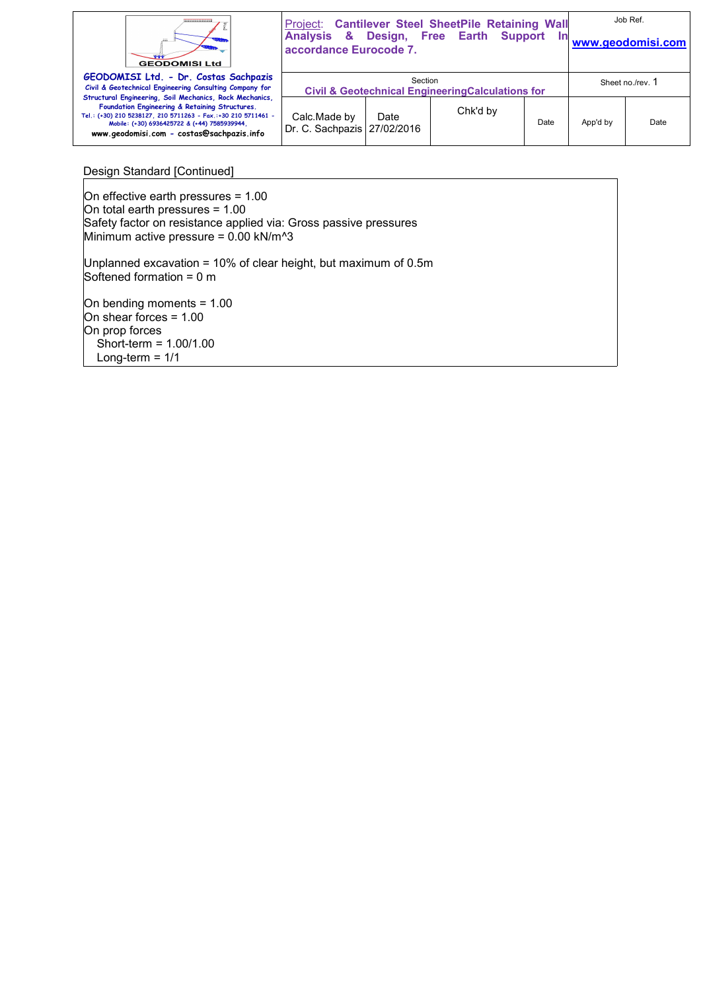| ,,,,,,,,,,,,,,,,<br><b>GEODOMISI Ltd</b>                                                                                                                                                                                                                                | accordance Eurocode 7.                                                 |      | Project: Cantilever Steel SheetPile Retaining Wall<br>Analysis & Design, Free Earth Support | In   |                  | Job Ref.<br>www.geodomisi.com |
|-------------------------------------------------------------------------------------------------------------------------------------------------------------------------------------------------------------------------------------------------------------------------|------------------------------------------------------------------------|------|---------------------------------------------------------------------------------------------|------|------------------|-------------------------------|
| GEODOMISI Ltd. - Dr. Costas Sachpazis<br>Civil & Geotechnical Engineering Consulting Company for                                                                                                                                                                        | Section<br><b>Civil &amp; Geotechnical EngineeringCalculations for</b> |      |                                                                                             |      | Sheet no./rev. 1 |                               |
| Structural Engineering, Soil Mechanics, Rock Mechanics,<br>Foundation Engineering & Retaining Structures.<br>Tel.: (+30) 210 5238127, 210 5711263 - Fax.:+30 210 5711461 -<br>Mobile: (+30) 6936425722 & (+44) 7585939944,<br>www.geodomisi.com - costas@sachpazis.info | Calc.Made by<br>Dr. C. Sachpazis   27/02/2016                          | Date | Chk'd by                                                                                    | Date | App'd by         | Date                          |

## Design Standard [Continued]

On effective earth pressures = 1.00 On total earth pressures = 1.00 Safety factor on resistance applied via: Gross passive pressures Minimum active pressure =  $0.00$  kN/m<sup> $\lambda$ </sup>3 Unplanned excavation = 10% of clear height, but maximum of 0.5m Softened formation =  $0 \text{ m}$ On bending moments = 1.00 On shear forces = 1.00 On prop forces Short-term = 1.00/1.00 Long-term  $= 1/1$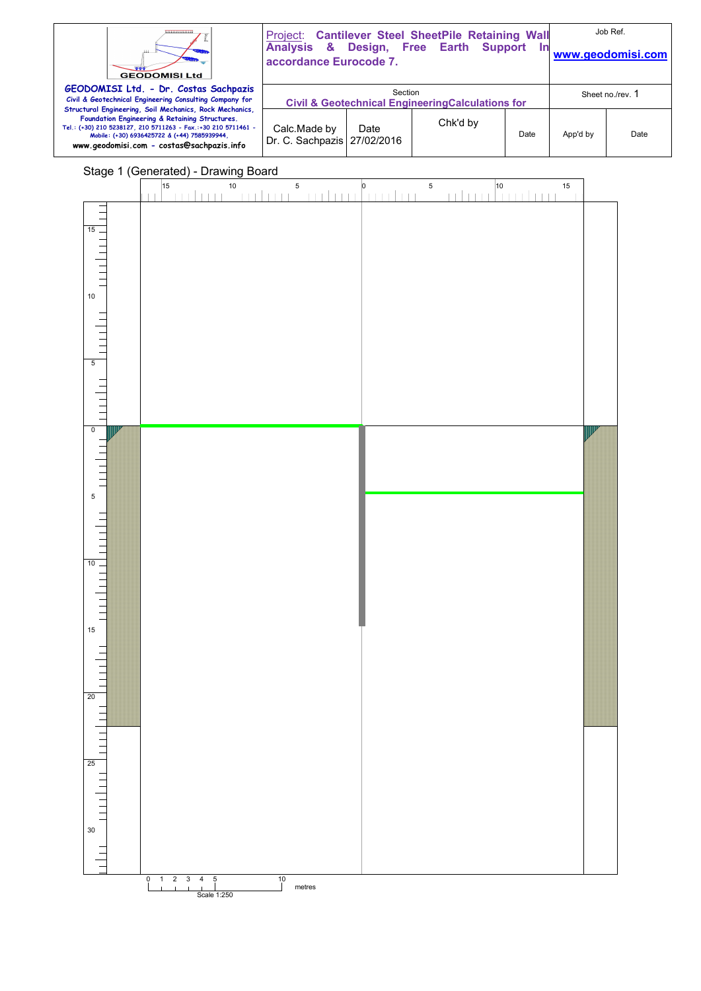| 10000000000000000<br>111.<br><b>GEODOMISI Ltd</b>                                                                                                                                                                                                                       | Project: Cantilever Steel SheetPile Retaining Wall<br>Analysis & Design, Free Earth Support<br>accordance Eurocode 7. | Job Ref.<br>www.geodomisi.com |          |      |          |      |
|-------------------------------------------------------------------------------------------------------------------------------------------------------------------------------------------------------------------------------------------------------------------------|-----------------------------------------------------------------------------------------------------------------------|-------------------------------|----------|------|----------|------|
| GEODOMISI Ltd. - Dr. Costas Sachpazis<br>Civil & Geotechnical Engineering Consulting Company for                                                                                                                                                                        | <b>Civil &amp; Geotechnical Engineering Calculations for</b>                                                          | Sheet no./rev. 1              |          |      |          |      |
| Structural Engineering, Soil Mechanics, Rock Mechanics,<br>Foundation Engineering & Retaining Structures.<br>Tel.: (+30) 210 5238127, 210 5711263 - Fax.:+30 210 5711461 -<br>Mobile: (+30) 6936425722 & (+44) 7585939944.<br>www.geodomisi.com - costas@sachpazis.info | Calc.Made by<br>Dr. C. Sachpazis 27/02/2016                                                                           | Date                          | Chk'd by | Date | App'd by | Date |

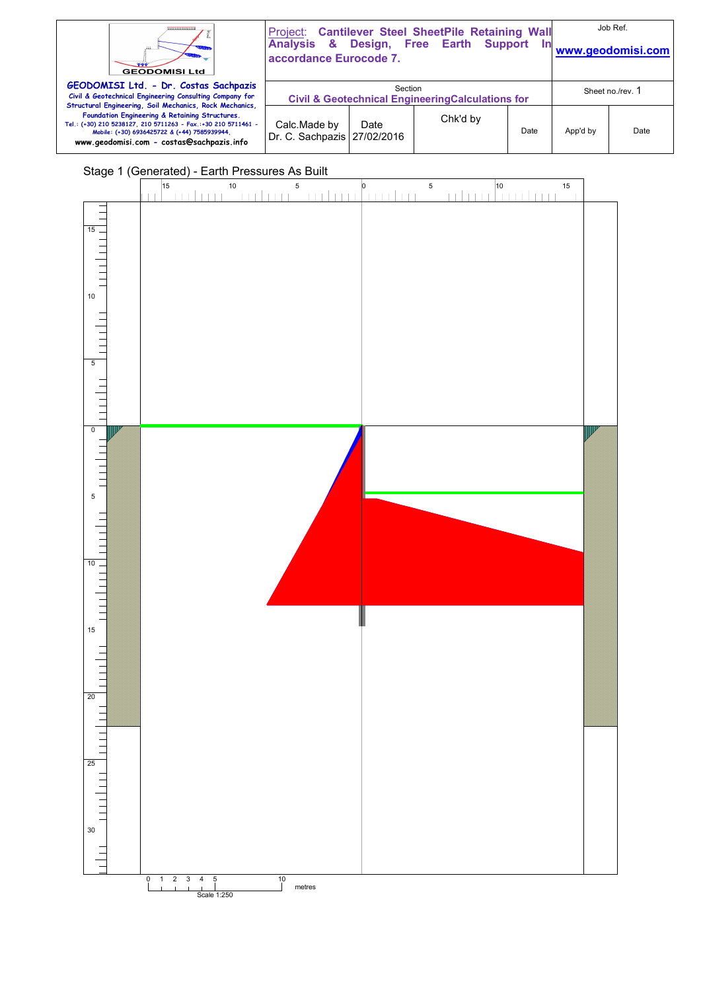| ,,,,,,,,,,,,,,<br><b>GEODOMISI Ltd</b>                                                                                                                                                                                                                                  | accordance Eurocode 7.                                                                      |      | Project: Cantilever Steel SheetPile Retaining Wall<br>Analysis & Design, Free Earth Support | <u>In</u> |          | Job Ref.<br>www.geodomisi.com |
|-------------------------------------------------------------------------------------------------------------------------------------------------------------------------------------------------------------------------------------------------------------------------|---------------------------------------------------------------------------------------------|------|---------------------------------------------------------------------------------------------|-----------|----------|-------------------------------|
| GEODOMISI Ltd. - Dr. Costas Sachpazis<br>Civil & Geotechnical Engineering Consulting Company for                                                                                                                                                                        | Section<br>Sheet no./rev. 1<br><b>Civil &amp; Geotechnical Engineering Calculations for</b> |      |                                                                                             |           |          |                               |
| Structural Engineering, Soil Mechanics, Rock Mechanics,<br>Foundation Engineering & Retaining Structures.<br>Tel.: (+30) 210 5238127, 210 5711263 - Fax.:+30 210 5711461 -<br>Mobile: (+30) 6936425722 & (+44) 7585939944,<br>www.geodomisi.com - costas@sachpazis.info | Calc.Made by<br>Dr. C. Sachpazis   27/02/2016                                               | Date | Chk'd by                                                                                    | Date      | App'd by | Date                          |

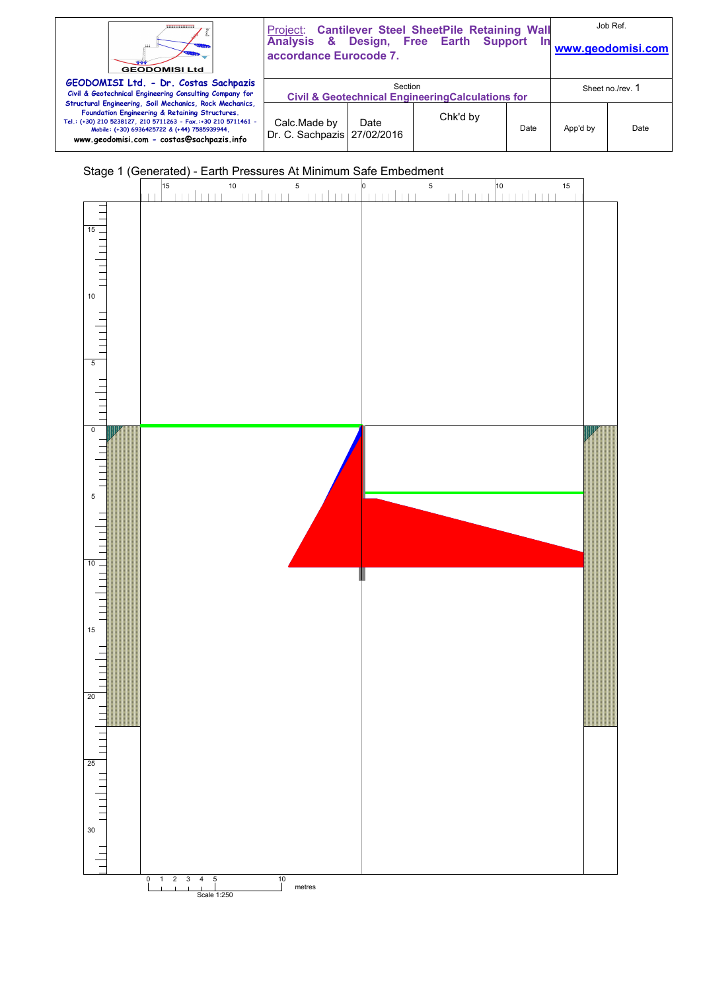| <br>111<br><b>GEODOMISI Ltd</b>                                                                                                                                                                                                                                         | Project: Cantilever Steel SheetPile Retaining Wall<br>Analysis & Design, Free Earth Support<br>accordance Eurocode 7. |      |          | In   | Job Ref.<br>www.geodomisi.com |      |
|-------------------------------------------------------------------------------------------------------------------------------------------------------------------------------------------------------------------------------------------------------------------------|-----------------------------------------------------------------------------------------------------------------------|------|----------|------|-------------------------------|------|
| GEODOMISI Ltd. - Dr. Costas Sachpazis<br>Civil & Geotechnical Engineering Consulting Company for                                                                                                                                                                        | Section<br>Sheet no./rev. 1<br><b>Civil &amp; Geotechnical EngineeringCalculations for</b>                            |      |          |      |                               |      |
| Structural Engineering, Soil Mechanics, Rock Mechanics,<br>Foundation Engineering & Retaining Structures.<br>Tel.: (+30) 210 5238127, 210 5711263 - Fax.:+30 210 5711461 -<br>Mobile: (+30) 6936425722 & (+44) 7585939944,<br>www.geodomisi.com - costas@sachpazis.info | Calc.Made by<br>Dr. C. Sachpazis 27/02/2016                                                                           | Date | Chk'd by | Date | App'd by                      | Date |

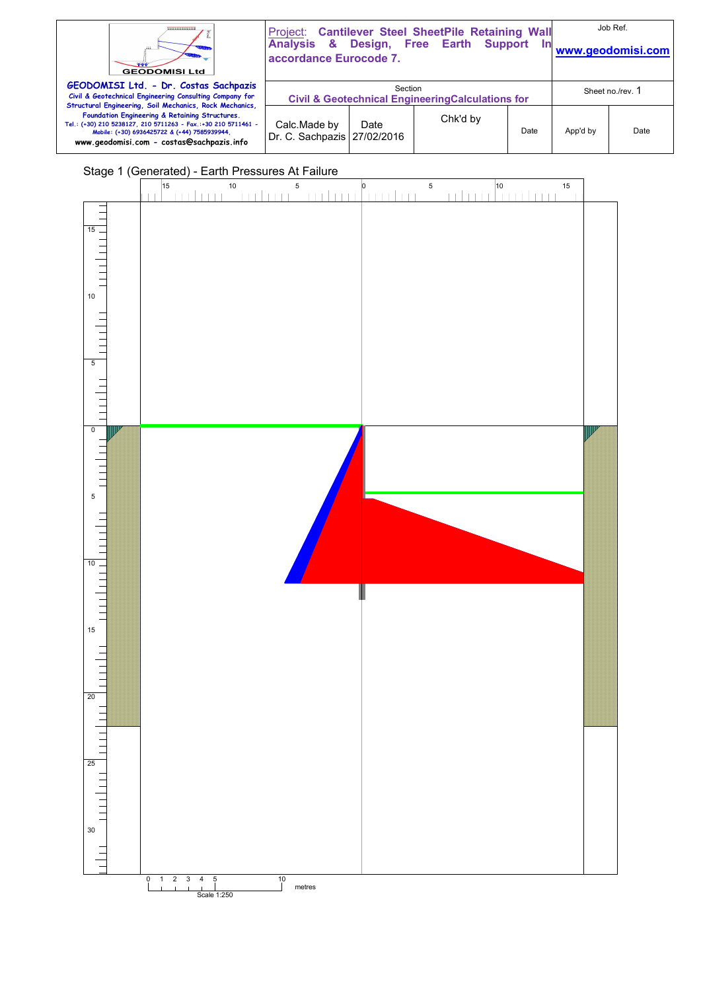| ,,,,,,,,,,,,,,<br><b>GEODOMISI Ltd</b>                                                                                                                                                                                                                                  | accordance Eurocode 7.                                                                      |      | Project: Cantilever Steel SheetPile Retaining Wall<br>Analysis & Design, Free Earth Support | <u>In</u> |          | Job Ref.<br>www.geodomisi.com |
|-------------------------------------------------------------------------------------------------------------------------------------------------------------------------------------------------------------------------------------------------------------------------|---------------------------------------------------------------------------------------------|------|---------------------------------------------------------------------------------------------|-----------|----------|-------------------------------|
| GEODOMISI Ltd. - Dr. Costas Sachpazis<br>Civil & Geotechnical Engineering Consulting Company for                                                                                                                                                                        | Section<br>Sheet no./rev. 1<br><b>Civil &amp; Geotechnical Engineering Calculations for</b> |      |                                                                                             |           |          |                               |
| Structural Engineering, Soil Mechanics, Rock Mechanics,<br>Foundation Engineering & Retaining Structures.<br>Tel.: (+30) 210 5238127, 210 5711263 - Fax.:+30 210 5711461 -<br>Mobile: (+30) 6936425722 & (+44) 7585939944,<br>www.geodomisi.com - costas@sachpazis.info | Calc.Made by<br>Dr. C. Sachpazis   27/02/2016                                               | Date | Chk'd by                                                                                    | Date      | App'd by | Date                          |

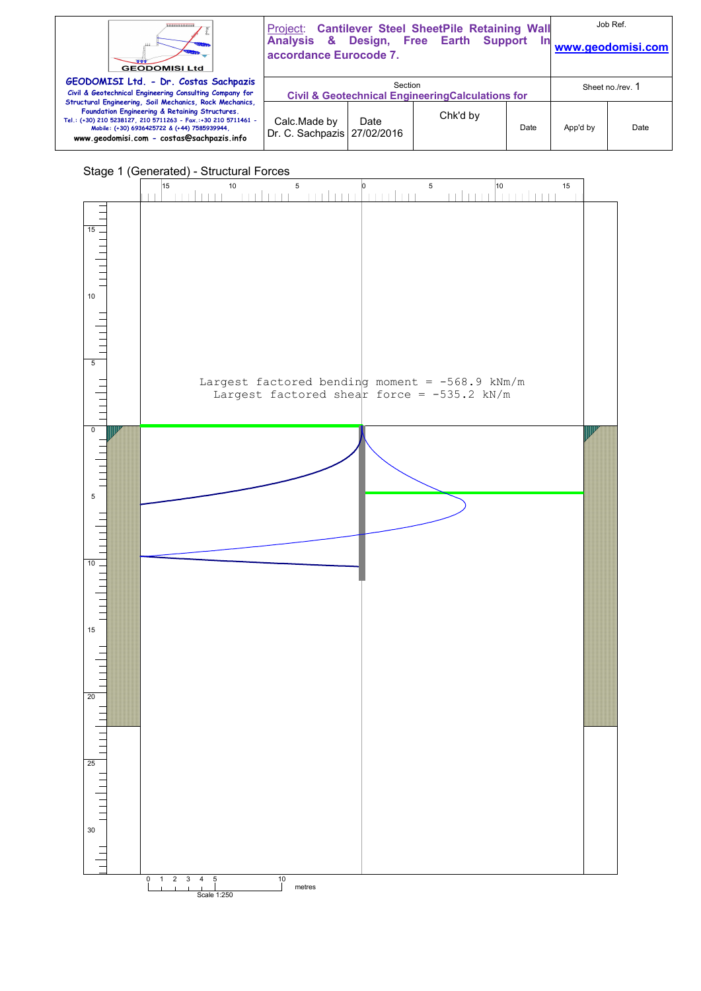| ----------------<br><b>GEODOMISI Ltd</b>                                                                                                                                                                                                                                |                                                                                             | Project: Cantilever Steel SheetPile Retaining Wall<br>Analysis & Design, Free Earth Support<br>In<br>accordance Eurocode 7. |          |      |          | Job Ref.<br>www.geodomisi.com |  |
|-------------------------------------------------------------------------------------------------------------------------------------------------------------------------------------------------------------------------------------------------------------------------|---------------------------------------------------------------------------------------------|-----------------------------------------------------------------------------------------------------------------------------|----------|------|----------|-------------------------------|--|
| GEODOMISI Ltd. - Dr. Costas Sachpazis<br>Civil & Geotechnical Engineering Consulting Company for                                                                                                                                                                        | Section<br>Sheet no./rev. 1<br><b>Civil &amp; Geotechnical Engineering Calculations for</b> |                                                                                                                             |          |      |          |                               |  |
| Structural Engineering, Soil Mechanics, Rock Mechanics,<br>Foundation Engineering & Retaining Structures.<br>Tel.: (+30) 210 5238127, 210 5711263 - Fax.:+30 210 5711461 -<br>Mobile: (+30) 6936425722 & (+44) 7585939944,<br>www.geodomisi.com - costas@sachpazis.info | Calc.Made by<br>Dr. C. Sachpazis   27/02/2016                                               | Date                                                                                                                        | Chk'd by | Date | App'd by | Date                          |  |

# Stage 1 (Generated) - Structural Forces

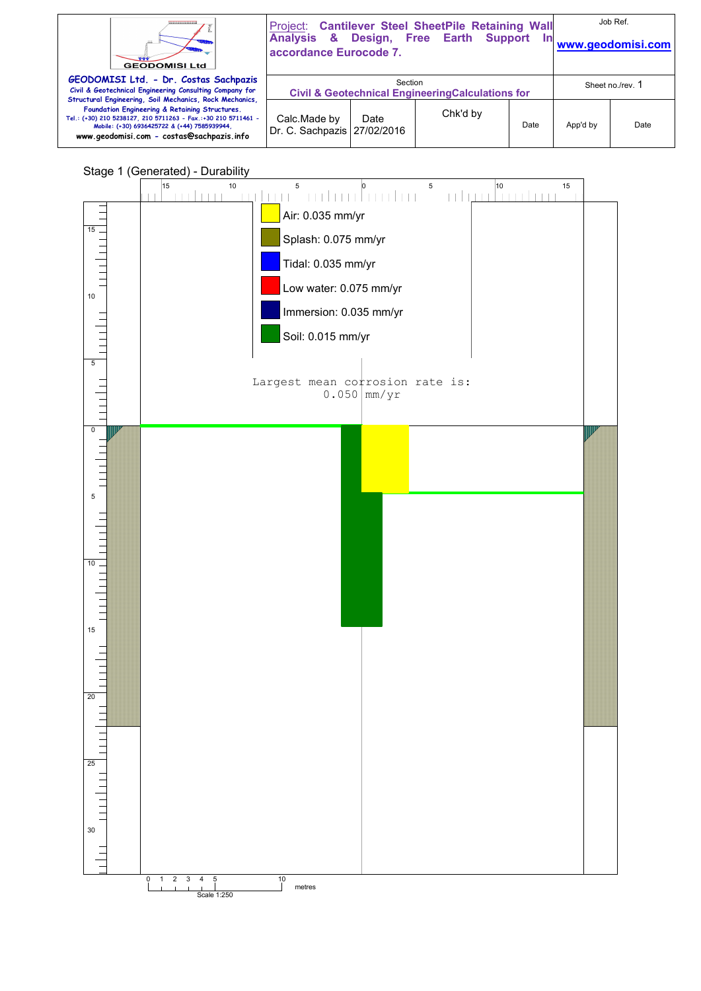| ,,,,,,,,,,,,,,,<br><b>GEODOMISI Ltd</b>                                                                                                                                                                                                                                 | accordance Eurocode 7.                                                                      |      | Project: Cantilever Steel SheetPile Retaining Wall<br>Analysis & Design, Free Earth Support |      |          | Job Ref.<br>www.geodomisi.com |
|-------------------------------------------------------------------------------------------------------------------------------------------------------------------------------------------------------------------------------------------------------------------------|---------------------------------------------------------------------------------------------|------|---------------------------------------------------------------------------------------------|------|----------|-------------------------------|
| GEODOMISI Ltd. - Dr. Costas Sachpazis<br>Civil & Geotechnical Engineering Consulting Company for                                                                                                                                                                        | Section<br>Sheet no./rev. 1<br><b>Civil &amp; Geotechnical Engineering Calculations for</b> |      |                                                                                             |      |          |                               |
| Structural Engineering, Soil Mechanics, Rock Mechanics,<br>Foundation Engineering & Retaining Structures.<br>Tel.: (+30) 210 5238127, 210 5711263 - Fax.:+30 210 5711461 -<br>Mobile: (+30) 6936425722 & (+44) 7585939944.<br>www.geodomisi.com - costas@sachpazis.info | Calc.Made by<br>Dr. C. Sachpazis   27/02/2016                                               | Date | Chk'd by                                                                                    | Date | App'd by | Date                          |



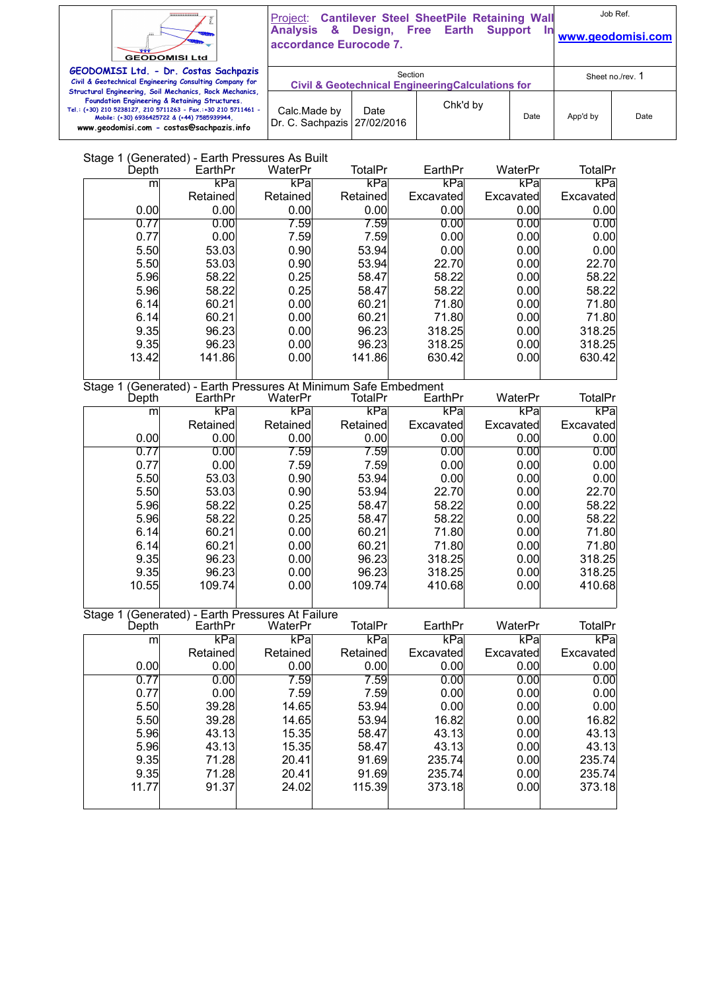

Project: **Cantilever Steel SheetPile Retaining Wall Analysis & Design, Free Earth Support In** 

Job Ref. **www.geodomisi.com** 

| <b>GEODOMISI Ltd</b>                                                                                                                                                                                        | accordance Eurocode 7.                                                  |      | <u>www.qcoaoman.com</u> |      |                  |      |
|-------------------------------------------------------------------------------------------------------------------------------------------------------------------------------------------------------------|-------------------------------------------------------------------------|------|-------------------------|------|------------------|------|
| GEODOMISI Ltd. - Dr. Costas Sachpazis<br>Civil & Geotechnical Engineering Consulting Company for<br>Structural Engineering, Soil Mechanics, Rock Mechanics,                                                 | Section<br><b>Civil &amp; Geotechnical Engineering Calculations for</b> |      |                         |      | Sheet no./rev. 1 |      |
| Foundation Engineering & Retaining Structures.<br>Tel.: (+30) 210 5238127, 210 5711263 - Fax.:+30 210 5711461 -<br>Mobile: (+30) 6936425722 & (+44) 7585939944<br>www.geodomisi.com - costas@sachpazis.info | Calc.Made by<br>Dr. C. Sachpazis 27/02/2016                             | Date | Chk'd by                | Date | App'd by         | Date |

# Stage 1 (Generated) - Earth Pressures As Built

| Depth   | EarthPr                                                 | WaterPr  | TotalPr        | EarthPr   | WaterPr   | TotalPr        |
|---------|---------------------------------------------------------|----------|----------------|-----------|-----------|----------------|
| m       | kPa                                                     | kPa      | kPa            | kPa       | kPa       | kPa            |
|         | Retained                                                | Retained | Retained       | Excavated | Excavated | Excavated      |
| 0.00    | 0.00                                                    | 0.00     | 0.00           | 0.00      | 0.00      | 0.00           |
| 0.77    | 0.00                                                    | 7.59     | 7.59           | 0.00      | 0.00      | 0.00           |
| 0.77    | 0.00                                                    | 7.59     | 7.59           | 0.00      | 0.00      | 0.00           |
| 5.50    | 53.03                                                   | 0.90     | 53.94          | 0.00      | 0.00      | 0.00           |
| 5.50    | 53.03                                                   | 0.90     | 53.94          | 22.70     | 0.00      | 22.70          |
| 5.96    | 58.22                                                   | 0.25     | 58.47          | 58.22     | 0.00      | 58.22          |
| 5.96    | 58.22                                                   | 0.25     | 58.47          | 58.22     | 0.00      | 58.22          |
| 6.14    | 60.21                                                   | 0.00     | 60.21          | 71.80     | 0.00      | 71.80          |
| 6.14    | 60.21                                                   | 0.00     | 60.21          | 71.80     | 0.00      | 71.80          |
| 9.35    | 96.23                                                   | 0.00     | 96.23          | 318.25    | 0.00      | 318.25         |
| 9.35    | 96.23                                                   | 0.00     | 96.23          | 318.25    | 0.00      | 318.25         |
| 13.42   | 141.86                                                  | 0.00     | 141.86         | 630.42    | 0.00      | 630.42         |
|         |                                                         |          |                |           |           |                |
| Stage 1 | (Generated) - Earth Pressures At Minimum Safe Embedment |          |                |           |           |                |
| Depth   | EarthPr                                                 | WaterPr  | <b>TotalPr</b> | EarthPr   | WaterPr   | <b>TotalPr</b> |
| m       | kPa                                                     | kPa      | kPa            | kPa       | kPa       | kPa            |
|         | Retained                                                | Retained | Retained       | Excavated | Excavated | Excavated      |
| 0.00    | 0.00                                                    | 0.00     | 0.00           | 0.00      | 0.00      | 0.00           |
| 0.77    | 0.00                                                    | 7.59     | 7.59           | 0.00      | 0.00      | 0.00           |
| 0.77    | 0.00                                                    | 7.59     | 7.59           | 0.00      | 0.00      | 0.00           |
| 5.50    | 53.03                                                   | 0.90     | 53.94          | 0.00      | 0.00      | 0.00           |
| 5.50    | 53.03                                                   | 0.90     | 53.94          | 22.70     | 0.00      | 22.70          |
| 5.96    | 58.22                                                   | 0.25     | 58.47          | 58.22     | 0.00      | 58.22          |
| 5.96    | 58.22                                                   | 0.25     | 58.47          | 58.22     | 0.00      | 58.22          |
| 6.14    | 60.21                                                   | 0.00     | 60.21          | 71.80     | 0.00      | 71.80          |
| 6.14    | 60.21                                                   | 0.00     | 60.21          | 71.80     | 0.00      | 71.80          |
| 9.35    | 96.23                                                   | 0.00     | 96.23          | 318.25    | 0.00      | 318.25         |
| 9.35    | 96.23                                                   | 0.00     | 96.23          | 318.25    | 0.00      | 318.25         |
| 10.55   | 109.74                                                  | 0.00     | 109.74         | 410.68    | 0.00      | 410.68         |
|         |                                                         |          |                |           |           |                |
| Stage 1 | (Generated) - Earth Pressures At Failure                |          |                |           |           |                |
| Depth   | EarthPr                                                 | WaterPr  | <b>TotalPr</b> | EarthPr   | WaterPr   | <b>TotalPr</b> |
| m       | kPa                                                     | kPa      | kPa            | kPa       | kPa       | kPa            |
|         | <b>Retained</b>                                         | Retained | Retained       | Excavated | Excavated | Excavated      |
| 0.00    | 0.00                                                    | 0.00     | 0.00           | 0.00      | 0.00      | 0.00           |
| 0.77    | 0.00                                                    | 7.59     | 7.59           | 0.00      | 0.00      | 0.00           |
| 0.77    | 0.00                                                    | 7.59     | 7.59           | 0.00      | 0.00      | 0.00           |
| 5.50    | 39.28                                                   | 14.65    | 53.94          | 0.00      | 0.00      | 0.00           |
| 5.50    | 39.28                                                   | 14.65    | 53.94          | 16.82     | 0.00      | 16.82          |
| 5.96    | 43.13                                                   | 15.35    | 58.47          | 43.13     | 0.00      | 43.13          |
| 5.96    | 43.13                                                   | 15.35    | 58.47          | 43.13     | 0.00      | 43.13          |
| 9.35    | 71.28                                                   | 20.41    | 91.69          | 235.74    | 0.00      | 235.74         |
| 9.35    | 71.28                                                   | 20.41    | 91.69          | 235.74    | 0.00      | 235.74         |
| 11.77   | 91.37                                                   | 24.02    | 115.39         | 373.18    | 0.00      | 373.18         |
|         |                                                         |          |                |           |           |                |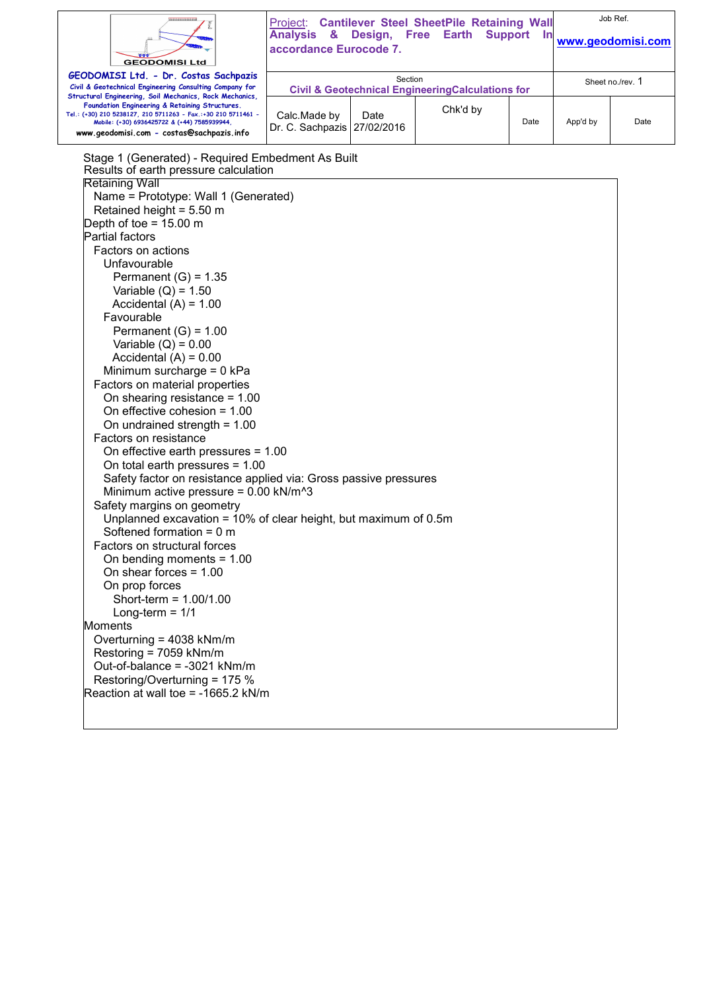| <br><b>GEODOMISI Ltd</b>                                                                                                                                                                                                                                                                                                                                                                                                                                                                                                                                                                                                                                                                                                                                                                                                                                                                                                                                                                                                                                                                                                                                                                                                                                                                                                                                     | <b>Analysis &amp;</b><br>accordance Eurocode 7. |                                                                        | Project: Cantilever Steel SheetPile Retaining Wall<br>Design, Free Earth<br><b>Support</b> | Job Ref.<br>www.geodomisi.com |          |      |
|--------------------------------------------------------------------------------------------------------------------------------------------------------------------------------------------------------------------------------------------------------------------------------------------------------------------------------------------------------------------------------------------------------------------------------------------------------------------------------------------------------------------------------------------------------------------------------------------------------------------------------------------------------------------------------------------------------------------------------------------------------------------------------------------------------------------------------------------------------------------------------------------------------------------------------------------------------------------------------------------------------------------------------------------------------------------------------------------------------------------------------------------------------------------------------------------------------------------------------------------------------------------------------------------------------------------------------------------------------------|-------------------------------------------------|------------------------------------------------------------------------|--------------------------------------------------------------------------------------------|-------------------------------|----------|------|
| GEODOMISI Ltd. - Dr. Costas Sachpazis<br>Civil & Geotechnical Engineering Consulting Company for                                                                                                                                                                                                                                                                                                                                                                                                                                                                                                                                                                                                                                                                                                                                                                                                                                                                                                                                                                                                                                                                                                                                                                                                                                                             |                                                 | Section<br><b>Civil &amp; Geotechnical EngineeringCalculations for</b> |                                                                                            |                               |          |      |
| Structural Engineering, Soil Mechanics, Rock Mechanics,<br>Foundation Engineering & Retaining Structures.<br>Tel.: (+30) 210 5238127, 210 5711263 - Fax.:+30 210 5711461 -<br>Mobile: (+30) 6936425722 & (+44) 7585939944,<br>www.geodomisi.com - costas@sachpazis.info                                                                                                                                                                                                                                                                                                                                                                                                                                                                                                                                                                                                                                                                                                                                                                                                                                                                                                                                                                                                                                                                                      | Calc.Made by<br>Dr. C. Sachpazis   27/02/2016   | Date                                                                   | Chk'd by                                                                                   | Date                          | App'd by | Date |
| Stage 1 (Generated) - Required Embedment As Built<br>Results of earth pressure calculation<br><b>Retaining Wall</b><br>Name = Prototype: Wall 1 (Generated)<br>Retained height = $5.50$ m<br>Depth of toe = $15.00 \text{ m}$<br>Partial factors<br>Factors on actions<br>Unfavourable<br>Permanent $(G) = 1.35$<br>Variable $(Q) = 1.50$<br>Accidental $(A) = 1.00$<br>Favourable<br>Permanent $(G) = 1.00$<br>Variable $(Q) = 0.00$<br>Accidental $(A) = 0.00$<br>Minimum surcharge = 0 kPa<br>Factors on material properties<br>On shearing resistance = $1.00$<br>On effective cohesion = $1.00$<br>On undrained strength = $1.00$<br>Factors on resistance<br>On effective earth pressures = $1.00$<br>On total earth pressures $= 1.00$<br>Safety factor on resistance applied via: Gross passive pressures<br>Minimum active pressure = $0.00$ kN/m <sup><math>3</math></sup><br>Safety margins on geometry<br>Unplanned excavation = 10% of clear height, but maximum of 0.5m<br>Softened formation $= 0$ m<br>Factors on structural forces<br>On bending moments = $1.00$<br>On shear forces = $1.00$<br>On prop forces<br>Short-term = $1.00/1.00$<br>Long-term = $1/1$<br>Moments<br>Overturning = 4038 kNm/m<br>Restoring = 7059 kNm/m<br>Out-of-balance = -3021 kNm/m<br>Restoring/Overturning = 175 %<br>Reaction at wall toe = $-1665.2$ kN/m |                                                 |                                                                        |                                                                                            |                               |          |      |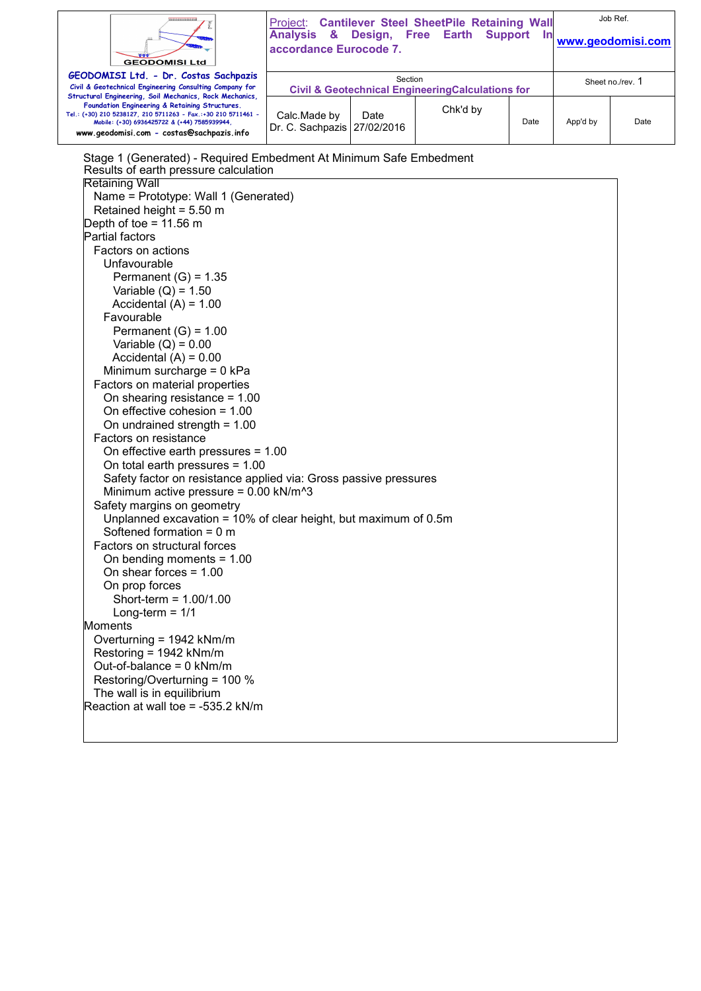| ,,,,,,,,,,,,,,<br><b>GEODOMISI Ltd</b>                                                                                                                                                                                                                                                                                                                                                                                                                                                                                                                                                                                                                                                                                                                                                                                                                                                                                                                                                                                                                                                                                                                                                                                                                                                                                                                                                                   | <b>Project: Cantilever Steel SheetPile Retaining Wall</b><br>Analysis & Design, Free Earth<br>accordance Eurocode 7. | Job Ref.<br>www.geodomisi.com |          |      |                  |      |
|----------------------------------------------------------------------------------------------------------------------------------------------------------------------------------------------------------------------------------------------------------------------------------------------------------------------------------------------------------------------------------------------------------------------------------------------------------------------------------------------------------------------------------------------------------------------------------------------------------------------------------------------------------------------------------------------------------------------------------------------------------------------------------------------------------------------------------------------------------------------------------------------------------------------------------------------------------------------------------------------------------------------------------------------------------------------------------------------------------------------------------------------------------------------------------------------------------------------------------------------------------------------------------------------------------------------------------------------------------------------------------------------------------|----------------------------------------------------------------------------------------------------------------------|-------------------------------|----------|------|------------------|------|
| GEODOMISI Ltd. - Dr. Costas Sachpazis<br>Civil & Geotechnical Engineering Consulting Company for                                                                                                                                                                                                                                                                                                                                                                                                                                                                                                                                                                                                                                                                                                                                                                                                                                                                                                                                                                                                                                                                                                                                                                                                                                                                                                         | Section<br><b>Civil &amp; Geotechnical EngineeringCalculations for</b>                                               |                               |          |      | Sheet no./rev. 1 |      |
| Structural Engineering, Soil Mechanics, Rock Mechanics,<br>Foundation Engineering & Retaining Structures.<br>Tel.: (+30) 210 5238127, 210 5711263 - Fax.:+30 210 5711461 -<br>Mobile: (+30) 6936425722 & (+44) 7585939944,<br>www.geodomisi.com - costas@sachpazis.info                                                                                                                                                                                                                                                                                                                                                                                                                                                                                                                                                                                                                                                                                                                                                                                                                                                                                                                                                                                                                                                                                                                                  | Calc.Made by<br>Dr. C. Sachpazis                                                                                     | Date<br>27/02/2016            | Chk'd by | Date | App'd by         | Date |
| Stage 1 (Generated) - Required Embedment At Minimum Safe Embedment<br>Results of earth pressure calculation<br><b>Retaining Wall</b><br>Name = Prototype: Wall 1 (Generated)<br>Retained height = $5.50$ m<br>Depth of toe = $11.56$ m<br>Partial factors<br>Factors on actions<br>Unfavourable<br>Permanent $(G) = 1.35$<br>Variable $(Q) = 1.50$<br>Accidental $(A) = 1.00$<br>Favourable<br>Permanent $(G) = 1.00$<br>Variable $(Q) = 0.00$<br>Accidental $(A) = 0.00$<br>Minimum surcharge = $0$ kPa<br>Factors on material properties<br>On shearing resistance = $1.00$<br>On effective cohesion = $1.00$<br>On undrained strength = $1.00$<br>Factors on resistance<br>On effective earth pressures = $1.00$<br>On total earth pressures $= 1.00$<br>Safety factor on resistance applied via: Gross passive pressures<br>Minimum active pressure = $0.00$ kN/m <sup><math>3</math></sup><br>Safety margins on geometry<br>Unplanned excavation = 10% of clear height, but maximum of 0.5m<br>Softened formation = $0 \text{ m}$<br>Factors on structural forces<br>On bending moments $= 1.00$<br>On shear forces $= 1.00$<br>On prop forces<br>Short-term = $1.00/1.00$<br>Long-term $= 1/1$<br>Moments<br>Overturning = 1942 kNm/m<br>Restoring = 1942 kNm/m<br>Out-of-balance = $0$ kNm/m<br>Restoring/Overturning = 100 %<br>The wall is in equilibrium<br>Reaction at wall toe = -535.2 kN/m |                                                                                                                      |                               |          |      |                  |      |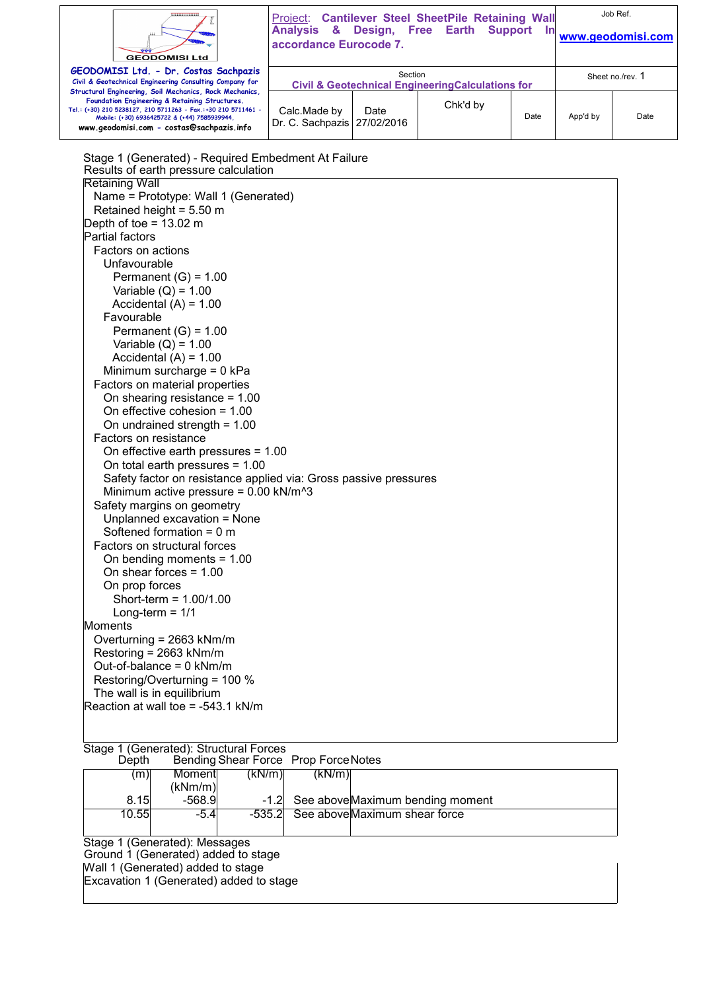| <b>GEODOMISI Ltd</b>                                                                                                                                                                                                                                                                                                                                                                                                                                                                                                                                                                                                                                                                                                                                                                                                                                                                                                                                                                                                                                                                                                                                                                                                                                                                                                  | Analysis & Design, Free Earth<br>accordance Eurocode 7. |         | Project: Cantilever Steel SheetPile Retaining Wall          | Support<br><u>In</u> |                  | Job Ref.<br>www.geodomisi.com |
|-----------------------------------------------------------------------------------------------------------------------------------------------------------------------------------------------------------------------------------------------------------------------------------------------------------------------------------------------------------------------------------------------------------------------------------------------------------------------------------------------------------------------------------------------------------------------------------------------------------------------------------------------------------------------------------------------------------------------------------------------------------------------------------------------------------------------------------------------------------------------------------------------------------------------------------------------------------------------------------------------------------------------------------------------------------------------------------------------------------------------------------------------------------------------------------------------------------------------------------------------------------------------------------------------------------------------|---------------------------------------------------------|---------|-------------------------------------------------------------|----------------------|------------------|-------------------------------|
| GEODOMISI Ltd. - Dr. Costas Sachpazis<br>Civil & Geotechnical Engineering Consulting Company for                                                                                                                                                                                                                                                                                                                                                                                                                                                                                                                                                                                                                                                                                                                                                                                                                                                                                                                                                                                                                                                                                                                                                                                                                      |                                                         | Section | <b>Civil &amp; Geotechnical EngineeringCalculations for</b> |                      | Sheet no./rev. 1 |                               |
| Structural Engineering, Soil Mechanics, Rock Mechanics,<br>Foundation Engineering & Retaining Structures.<br>Tel.: (+30) 210 5238127, 210 5711263 - Fax.:+30 210 5711461 -<br>Mobile: (+30) 6936425722 & (+44) 7585939944,<br>www.geodomisi.com - costas@sachpazis.info                                                                                                                                                                                                                                                                                                                                                                                                                                                                                                                                                                                                                                                                                                                                                                                                                                                                                                                                                                                                                                               | Calc.Made by<br>Dr. C. Sachpazis   27/02/2016           | Date    | Chk'd by                                                    | Date                 | App'd by         | Date                          |
| Stage 1 (Generated) - Required Embedment At Failure<br>Results of earth pressure calculation<br><b>Retaining Wall</b><br>Name = Prototype: Wall 1 (Generated)<br>Retained height = $5.50$ m<br>Depth of toe = $13.02 \text{ m}$<br>Partial factors<br>Factors on actions<br>Unfavourable<br>Permanent $(G) = 1.00$<br>Variable $(Q) = 1.00$<br>Accidental $(A) = 1.00$<br>Favourable<br>Permanent $(G) = 1.00$<br>Variable $(Q) = 1.00$<br>Accidental $(A) = 1.00$<br>Minimum surcharge = $0$ kPa<br>Factors on material properties<br>On shearing resistance = $1.00$<br>On effective cohesion = $1.00$<br>On undrained strength = $1.00$<br>Factors on resistance<br>On effective earth pressures $= 1.00$<br>On total earth pressures $= 1.00$<br>Safety factor on resistance applied via: Gross passive pressures<br>Minimum active pressure = $0.00$ kN/m <sup><math>3</math></sup><br>Safety margins on geometry<br>Unplanned excavation = None<br>Softened formation = $0 \text{ m}$<br>Factors on structural forces<br>On bending moments = 1.00<br>On shear forces = $1.00$<br>On prop forces<br>Short-term = $1.00/1.00$<br>Long-term = $1/1$<br>Moments<br>Overturning = 2663 kNm/m<br>Restoring = 2663 kNm/m<br>Out-of-balance = $0$ kNm/m<br>Restoring/Overturning = 100 %<br>The wall is in equilibrium |                                                         |         |                                                             |                      |                  |                               |

| Stage 1 (Generated): Structural Forces |  |
|----------------------------------------|--|

Reaction at wall toe = -543.1 kN/m

| Depth                         |                                     | Bending Shear Force Prop Force Notes |        |                                  |  |
|-------------------------------|-------------------------------------|--------------------------------------|--------|----------------------------------|--|
| (m)                           | Moment                              | (kN/m)                               | (kN/m) |                                  |  |
|                               | (kNm/m)                             |                                      |        |                                  |  |
| 8.15                          | $-568.9$                            | $-1.2$                               |        | See above Maximum bending moment |  |
| 10.55                         | $-5.4$                              | -535.21                              |        | See above Maximum shear force    |  |
|                               |                                     |                                      |        |                                  |  |
| Stage 1 (Generated): Messages |                                     |                                      |        |                                  |  |
|                               | Ground 1 (Generated) added to stage |                                      |        |                                  |  |

Ground 1 (Generated) added to stage Wall 1 (Generated) added to stage

Excavation 1 (Generated) added to stage